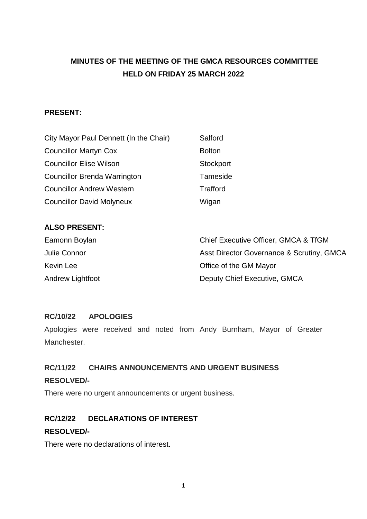# **MINUTES OF THE MEETING OF THE GMCA RESOURCES COMMITTEE HELD ON FRIDAY 25 MARCH 2022**

### **PRESENT:**

| City Mayor Paul Dennett (In the Chair) | Salford          |
|----------------------------------------|------------------|
| <b>Councillor Martyn Cox</b>           | <b>Bolton</b>    |
| <b>Councillor Elise Wilson</b>         | <b>Stockport</b> |
| <b>Councillor Brenda Warrington</b>    | Tameside         |
| <b>Councillor Andrew Western</b>       | <b>Trafford</b>  |
| <b>Councillor David Molyneux</b>       | Wigan            |

#### **ALSO PRESENT:**

| Eamonn Boylan    | Chief Executive Officer, GMCA & TfGM      |
|------------------|-------------------------------------------|
| Julie Connor     | Asst Director Governance & Scrutiny, GMCA |
| Kevin Lee        | Office of the GM Mayor                    |
| Andrew Lightfoot | Deputy Chief Executive, GMCA              |

### **RC/10/22 APOLOGIES**

Apologies were received and noted from Andy Burnham, Mayor of Greater Manchester.

# **RC/11/22 CHAIRS ANNOUNCEMENTS AND URGENT BUSINESS RESOLVED/-**

There were no urgent announcements or urgent business.

## **RC/12/22 DECLARATIONS OF INTEREST**

#### **RESOLVED/-**

There were no declarations of interest.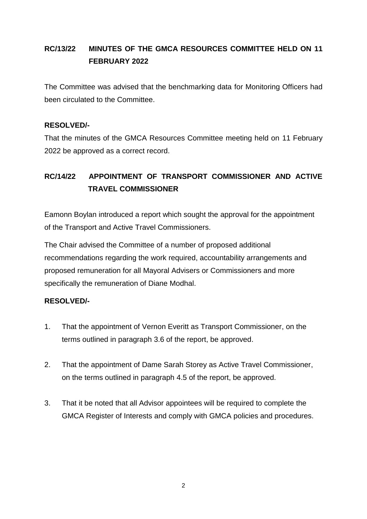# **RC/13/22 MINUTES OF THE GMCA RESOURCES COMMITTEE HELD ON 11 FEBRUARY 2022**

The Committee was advised that the benchmarking data for Monitoring Officers had been circulated to the Committee.

### **RESOLVED/-**

That the minutes of the GMCA Resources Committee meeting held on 11 February 2022 be approved as a correct record.

# **RC/14/22 APPOINTMENT OF TRANSPORT COMMISSIONER AND ACTIVE TRAVEL COMMISSIONER**

Eamonn Boylan introduced a report which sought the approval for the appointment of the Transport and Active Travel Commissioners.

The Chair advised the Committee of a number of proposed additional recommendations regarding the work required, accountability arrangements and proposed remuneration for all Mayoral Advisers or Commissioners and more specifically the remuneration of Diane Modhal.

### **RESOLVED/-**

- 1. That the appointment of Vernon Everitt as Transport Commissioner, on the terms outlined in paragraph 3.6 of the report, be approved.
- 2. That the appointment of Dame Sarah Storey as Active Travel Commissioner, on the terms outlined in paragraph 4.5 of the report, be approved.
- 3. That it be noted that all Advisor appointees will be required to complete the GMCA Register of Interests and comply with GMCA policies and procedures.